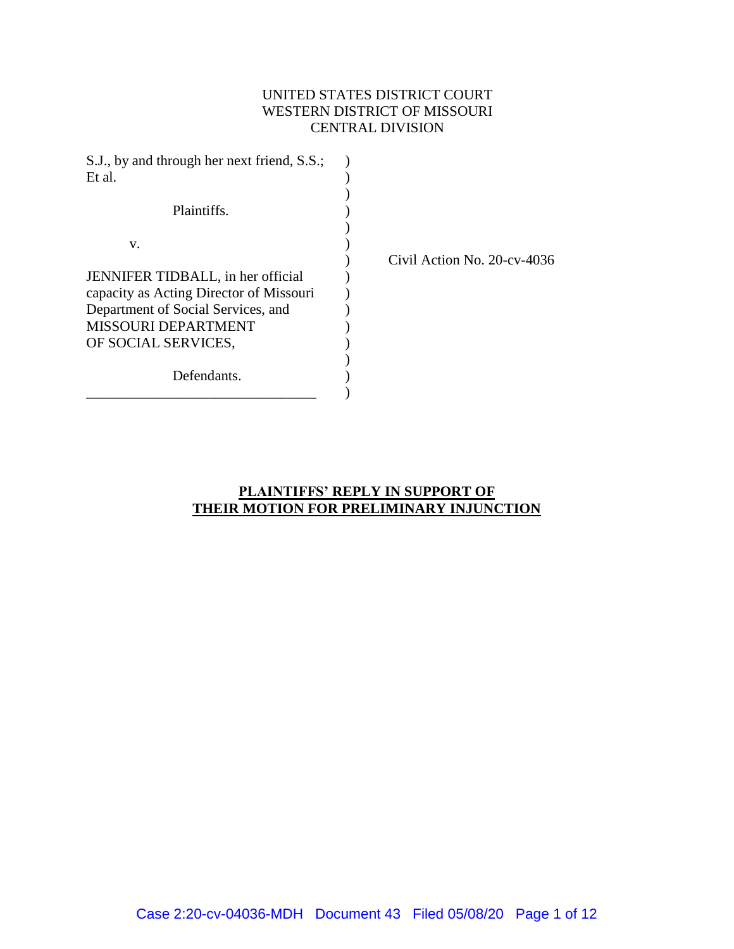# UNITED STATES DISTRICT COURT WESTERN DISTRICT OF MISSOURI CENTRAL DIVISION

| S.J., by and through her next friend, S.S.; |                                |
|---------------------------------------------|--------------------------------|
| Et al.                                      |                                |
|                                             |                                |
| Plaintiffs.                                 |                                |
|                                             |                                |
| v.                                          |                                |
|                                             | Civil Action No. $20$ -cv-4036 |
| JENNIFER TIDBALL, in her official           |                                |
| capacity as Acting Director of Missouri     |                                |
| Department of Social Services, and          |                                |
| <b>MISSOURI DEPARTMENT</b>                  |                                |
| OF SOCIAL SERVICES,                         |                                |
|                                             |                                |
| Defendants.                                 |                                |
|                                             |                                |

## **PLAINTIFFS' REPLY IN SUPPORT OF THEIR MOTION FOR PRELIMINARY INJUNCTION**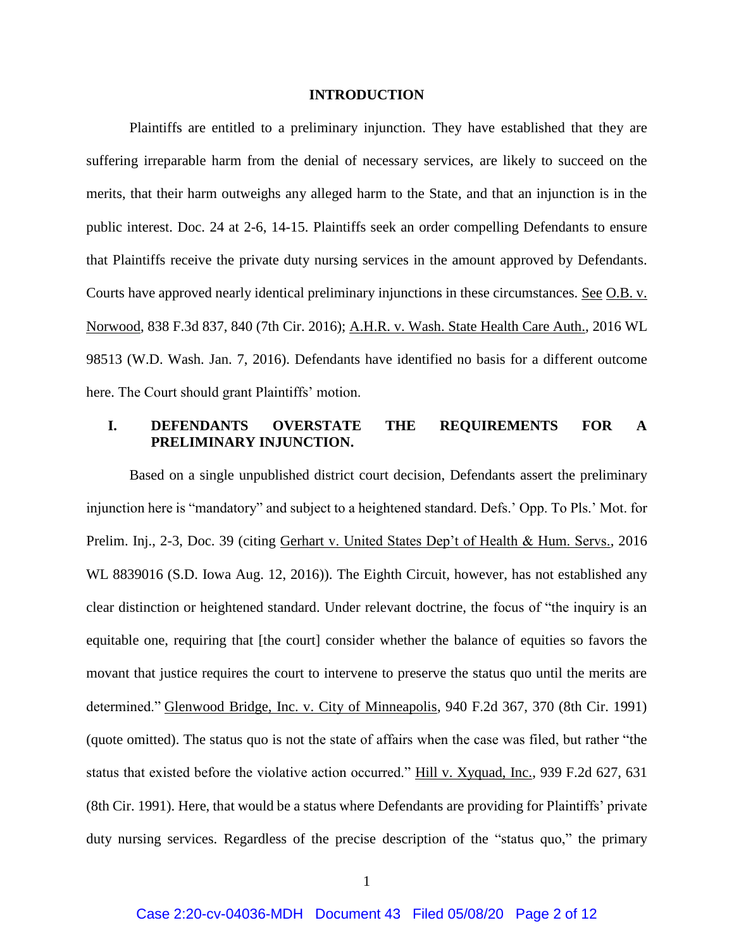#### **INTRODUCTION**

Plaintiffs are entitled to a preliminary injunction. They have established that they are suffering irreparable harm from the denial of necessary services, are likely to succeed on the merits, that their harm outweighs any alleged harm to the State, and that an injunction is in the public interest. Doc. 24 at 2-6, 14-15. Plaintiffs seek an order compelling Defendants to ensure that Plaintiffs receive the private duty nursing services in the amount approved by Defendants. Courts have approved nearly identical preliminary injunctions in these circumstances. See O.B. v. Norwood, 838 F.3d 837, 840 (7th Cir. 2016); A.H.R. v. Wash. State Health Care Auth., 2016 WL 98513 (W.D. Wash. Jan. 7, 2016). Defendants have identified no basis for a different outcome here. The Court should grant Plaintiffs' motion.

## **I. DEFENDANTS OVERSTATE THE REQUIREMENTS FOR A PRELIMINARY INJUNCTION.**

Based on a single unpublished district court decision, Defendants assert the preliminary injunction here is "mandatory" and subject to a heightened standard. Defs.' Opp. To Pls.' Mot. for Prelim. Inj., 2-3, Doc. 39 (citing Gerhart v. United States Dep't of Health & Hum. Servs., 2016 WL 8839016 (S.D. Iowa Aug. 12, 2016)). The Eighth Circuit, however, has not established any clear distinction or heightened standard. Under relevant doctrine, the focus of "the inquiry is an equitable one, requiring that [the court] consider whether the balance of equities so favors the movant that justice requires the court to intervene to preserve the status quo until the merits are determined." Glenwood Bridge, Inc. v. City of Minneapolis, 940 F.2d 367, 370 (8th Cir. 1991) (quote omitted). The status quo is not the state of affairs when the case was filed, but rather "the status that existed before the violative action occurred." Hill v. Xyquad, Inc., 939 F.2d 627, 631 (8th Cir. 1991). Here, that would be a status where Defendants are providing for Plaintiffs' private duty nursing services. Regardless of the precise description of the "status quo," the primary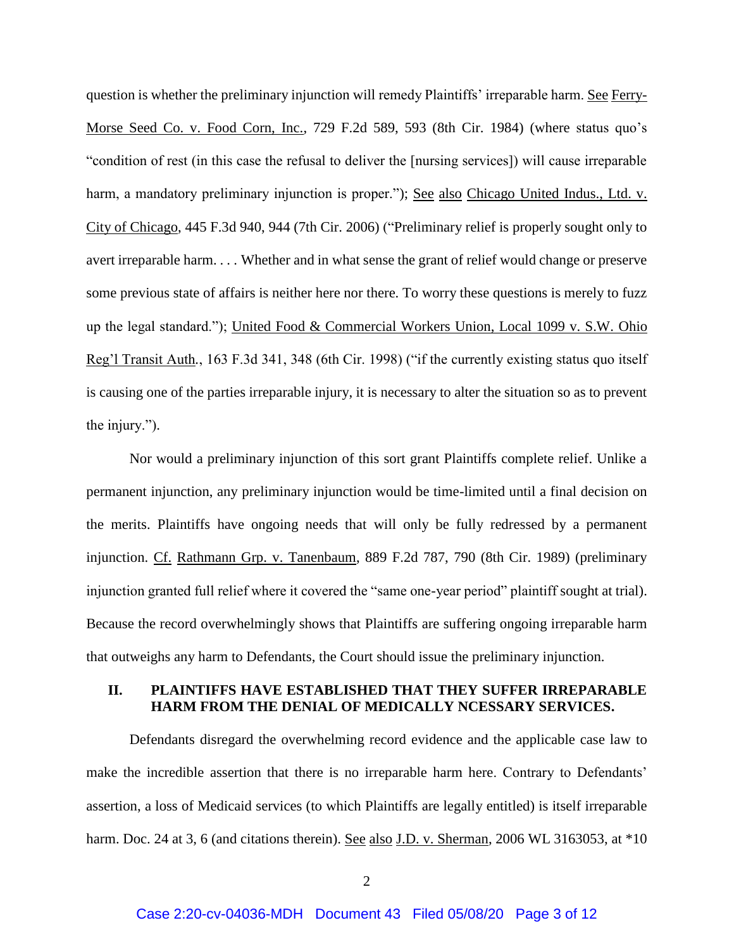question is whether the preliminary injunction will remedy Plaintiffs' irreparable harm. See Ferry-Morse Seed Co. v. Food Corn, Inc., 729 F.2d 589, 593 (8th Cir. 1984) (where status quo's "condition of rest (in this case the refusal to deliver the [nursing services]) will cause irreparable harm, a mandatory preliminary injunction is proper."); See also Chicago United Indus., Ltd. v. City of Chicago, 445 F.3d 940, 944 (7th Cir. 2006) ("Preliminary relief is properly sought only to avert irreparable harm. . . . Whether and in what sense the grant of relief would change or preserve some previous state of affairs is neither here nor there. To worry these questions is merely to fuzz up the legal standard."); United Food & Commercial Workers Union, Local 1099 v. S.W. Ohio Reg'l Transit Auth*.*, 163 F.3d 341, 348 (6th Cir. 1998) ("if the currently existing status quo itself is causing one of the parties irreparable injury, it is necessary to alter the situation so as to prevent the injury.").

Nor would a preliminary injunction of this sort grant Plaintiffs complete relief. Unlike a permanent injunction, any preliminary injunction would be time-limited until a final decision on the merits. Plaintiffs have ongoing needs that will only be fully redressed by a permanent injunction. Cf. Rathmann Grp. v. Tanenbaum, 889 F.2d 787, 790 (8th Cir. 1989) (preliminary injunction granted full relief where it covered the "same one-year period" plaintiff sought at trial). Because the record overwhelmingly shows that Plaintiffs are suffering ongoing irreparable harm that outweighs any harm to Defendants, the Court should issue the preliminary injunction.

## **II. PLAINTIFFS HAVE ESTABLISHED THAT THEY SUFFER IRREPARABLE HARM FROM THE DENIAL OF MEDICALLY NCESSARY SERVICES.**

Defendants disregard the overwhelming record evidence and the applicable case law to make the incredible assertion that there is no irreparable harm here. Contrary to Defendants' assertion, a loss of Medicaid services (to which Plaintiffs are legally entitled) is itself irreparable harm. Doc. 24 at 3, 6 (and citations therein). <u>See also J.D. v. Sherman</u>, 2006 WL 3163053, at \*10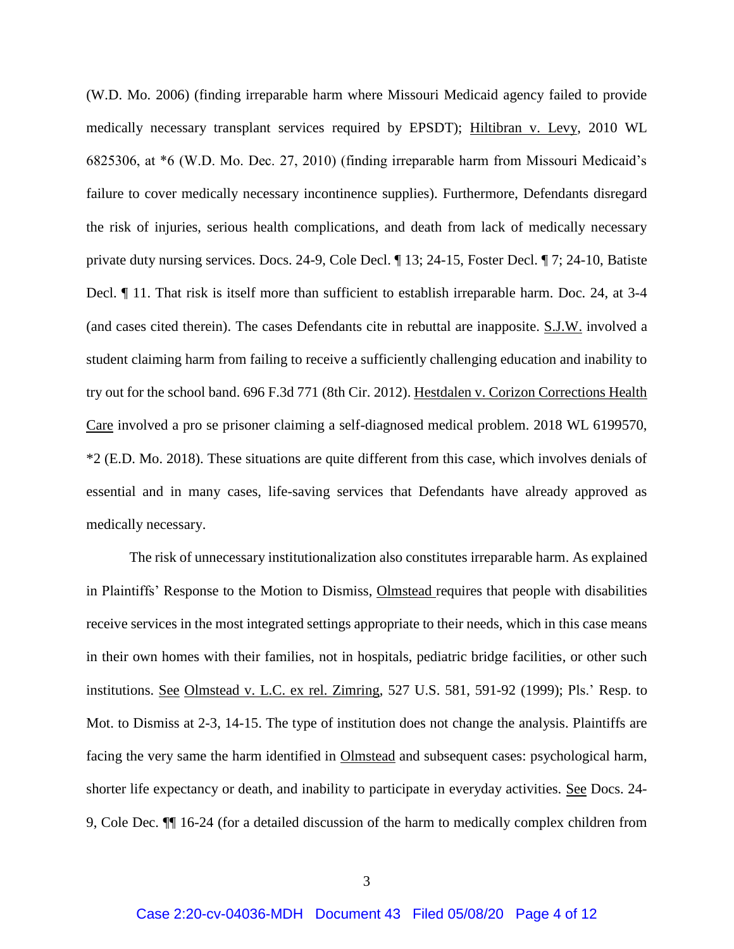(W.D. Mo. 2006) (finding irreparable harm where Missouri Medicaid agency failed to provide medically necessary transplant services required by EPSDT); Hiltibran v. Levy, 2010 WL 6825306, at \*6 (W.D. Mo. Dec. 27, 2010) (finding irreparable harm from Missouri Medicaid's failure to cover medically necessary incontinence supplies). Furthermore, Defendants disregard the risk of injuries, serious health complications, and death from lack of medically necessary private duty nursing services. Docs. 24-9, Cole Decl. ¶ 13; 24-15, Foster Decl. ¶ 7; 24-10, Batiste Decl. ¶ 11. That risk is itself more than sufficient to establish irreparable harm. Doc. 24, at 3-4 (and cases cited therein). The cases Defendants cite in rebuttal are inapposite. S.J.W. involved a student claiming harm from failing to receive a sufficiently challenging education and inability to try out for the school band. 696 F.3d 771 (8th Cir. 2012). Hestdalen v. Corizon Corrections Health Care involved a pro se prisoner claiming a self-diagnosed medical problem. 2018 WL 6199570, \*2 (E.D. Mo. 2018). These situations are quite different from this case, which involves denials of essential and in many cases, life-saving services that Defendants have already approved as medically necessary.

The risk of unnecessary institutionalization also constitutes irreparable harm. As explained in Plaintiffs' Response to the Motion to Dismiss, Olmstead requires that people with disabilities receive services in the most integrated settings appropriate to their needs, which in this case means in their own homes with their families, not in hospitals, pediatric bridge facilities, or other such institutions. See Olmstead v. L.C. ex rel. Zimring, 527 U.S. 581, 591-92 (1999); Pls.' Resp. to Mot. to Dismiss at 2-3, 14-15. The type of institution does not change the analysis. Plaintiffs are facing the very same the harm identified in Olmstead and subsequent cases: psychological harm, shorter life expectancy or death, and inability to participate in everyday activities. See Docs. 24- 9, Cole Dec. ¶¶ 16-24 (for a detailed discussion of the harm to medically complex children from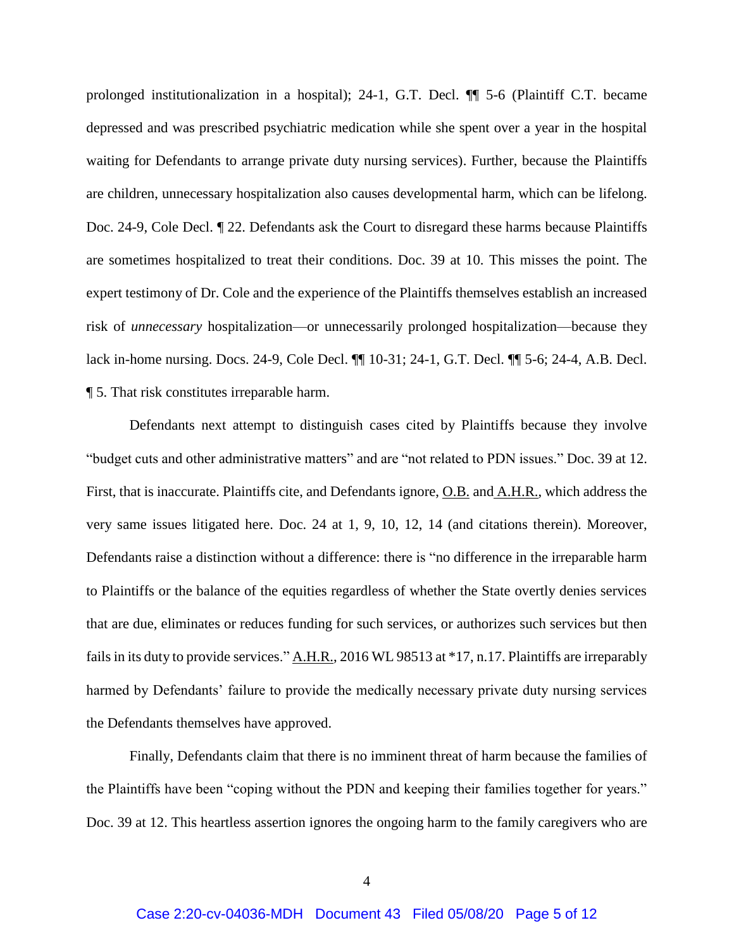prolonged institutionalization in a hospital); 24-1, G.T. Decl. ¶¶ 5-6 (Plaintiff C.T. became depressed and was prescribed psychiatric medication while she spent over a year in the hospital waiting for Defendants to arrange private duty nursing services). Further, because the Plaintiffs are children, unnecessary hospitalization also causes developmental harm, which can be lifelong. Doc. 24-9, Cole Decl. ¶ 22. Defendants ask the Court to disregard these harms because Plaintiffs are sometimes hospitalized to treat their conditions. Doc. 39 at 10. This misses the point. The expert testimony of Dr. Cole and the experience of the Plaintiffs themselves establish an increased risk of *unnecessary* hospitalization—or unnecessarily prolonged hospitalization—because they lack in-home nursing. Docs. 24-9, Cole Decl. ¶¶ 10-31; 24-1, G.T. Decl. ¶¶ 5-6; 24-4, A.B. Decl. ¶ 5. That risk constitutes irreparable harm.

Defendants next attempt to distinguish cases cited by Plaintiffs because they involve "budget cuts and other administrative matters" and are "not related to PDN issues." Doc. 39 at 12. First, that is inaccurate. Plaintiffs cite, and Defendants ignore, O.B. and A.H.R., which address the very same issues litigated here. Doc. 24 at 1, 9, 10, 12, 14 (and citations therein). Moreover, Defendants raise a distinction without a difference: there is "no difference in the irreparable harm to Plaintiffs or the balance of the equities regardless of whether the State overtly denies services that are due, eliminates or reduces funding for such services, or authorizes such services but then fails in its duty to provide services." A.H.R., 2016 WL 98513 at \*17, n.17. Plaintiffs are irreparably harmed by Defendants' failure to provide the medically necessary private duty nursing services the Defendants themselves have approved.

Finally, Defendants claim that there is no imminent threat of harm because the families of the Plaintiffs have been "coping without the PDN and keeping their families together for years." Doc. 39 at 12. This heartless assertion ignores the ongoing harm to the family caregivers who are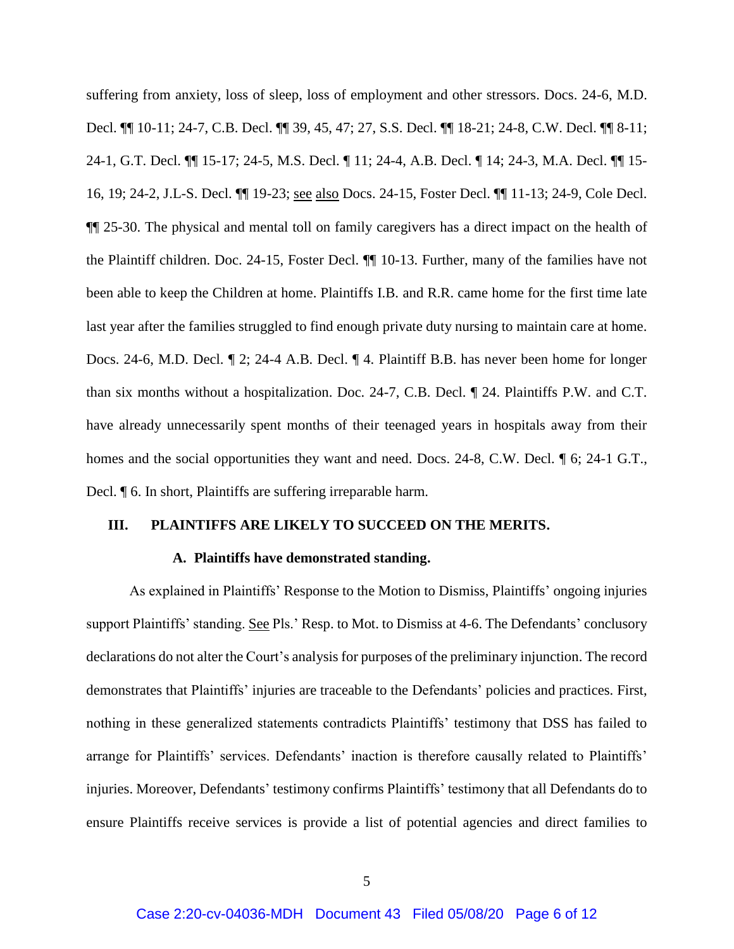suffering from anxiety, loss of sleep, loss of employment and other stressors. Docs. 24-6, M.D. Decl. ¶¶ 10-11; 24-7, C.B. Decl. ¶¶ 39, 45, 47; 27, S.S. Decl. ¶¶ 18-21; 24-8, C.W. Decl. ¶¶ 8-11; 24-1, G.T. Decl. ¶¶ 15-17; 24-5, M.S. Decl. ¶ 11; 24-4, A.B. Decl. ¶ 14; 24-3, M.A. Decl. ¶¶ 15- 16, 19; 24-2, J.L-S. Decl. ¶¶ 19-23; see also Docs. 24-15, Foster Decl. ¶¶ 11-13; 24-9, Cole Decl. ¶¶ 25-30. The physical and mental toll on family caregivers has a direct impact on the health of the Plaintiff children. Doc. 24-15, Foster Decl. ¶¶ 10-13. Further, many of the families have not been able to keep the Children at home. Plaintiffs I.B. and R.R. came home for the first time late last year after the families struggled to find enough private duty nursing to maintain care at home. Docs. 24-6, M.D. Decl. ¶ 2; 24-4 A.B. Decl. ¶ 4. Plaintiff B.B. has never been home for longer than six months without a hospitalization. Doc. 24-7, C.B. Decl. ¶ 24. Plaintiffs P.W. and C.T. have already unnecessarily spent months of their teenaged years in hospitals away from their homes and the social opportunities they want and need. Docs. 24-8, C.W. Decl.  $\parallel$  6; 24-1 G.T., Decl. ¶ 6. In short, Plaintiffs are suffering irreparable harm.

### **III. PLAINTIFFS ARE LIKELY TO SUCCEED ON THE MERITS.**

#### **A. Plaintiffs have demonstrated standing.**

As explained in Plaintiffs' Response to the Motion to Dismiss, Plaintiffs' ongoing injuries support Plaintiffs' standing. See Pls.' Resp. to Mot. to Dismiss at 4-6. The Defendants' conclusory declarations do not alter the Court's analysis for purposes of the preliminary injunction. The record demonstrates that Plaintiffs' injuries are traceable to the Defendants' policies and practices. First, nothing in these generalized statements contradicts Plaintiffs' testimony that DSS has failed to arrange for Plaintiffs' services. Defendants' inaction is therefore causally related to Plaintiffs' injuries. Moreover, Defendants' testimony confirms Plaintiffs' testimony that all Defendants do to ensure Plaintiffs receive services is provide a list of potential agencies and direct families to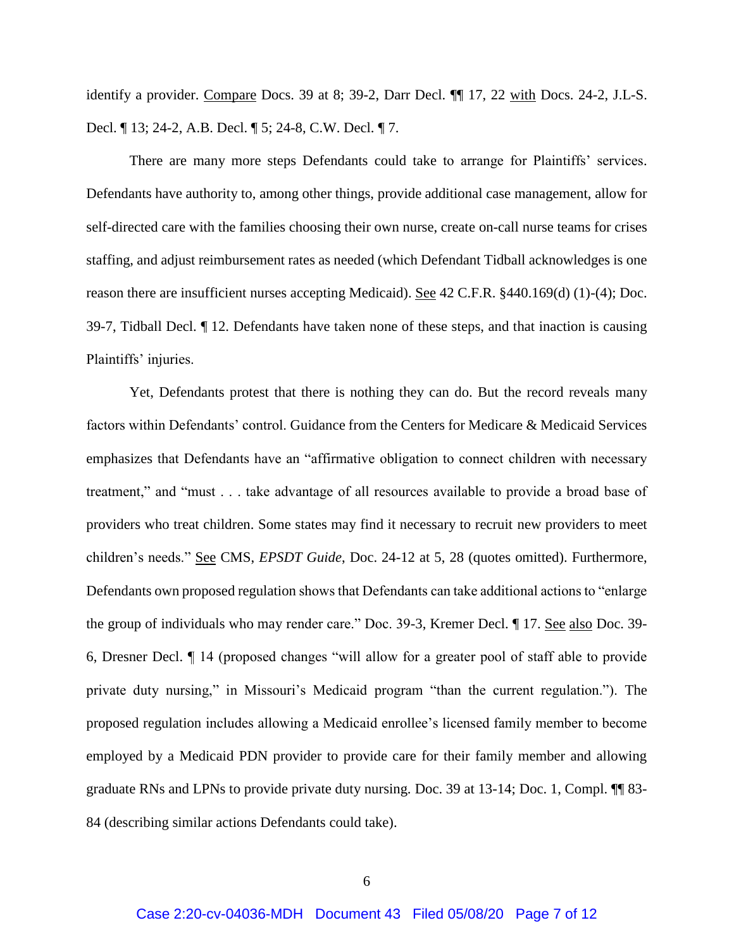identify a provider. Compare Docs. 39 at 8; 39-2, Darr Decl.  $\P$  17, 22 with Docs. 24-2, J.L-S. Decl. ¶ 13; 24-2, A.B. Decl. ¶ 5; 24-8, C.W. Decl. ¶ 7.

There are many more steps Defendants could take to arrange for Plaintiffs' services. Defendants have authority to, among other things, provide additional case management, allow for self-directed care with the families choosing their own nurse, create on-call nurse teams for crises staffing, and adjust reimbursement rates as needed (which Defendant Tidball acknowledges is one reason there are insufficient nurses accepting Medicaid). See 42 C.F.R. §440.169(d) (1)-(4); Doc. 39-7, Tidball Decl. ¶ 12. Defendants have taken none of these steps, and that inaction is causing Plaintiffs' injuries.

Yet, Defendants protest that there is nothing they can do. But the record reveals many factors within Defendants' control. Guidance from the Centers for Medicare & Medicaid Services emphasizes that Defendants have an "affirmative obligation to connect children with necessary treatment," and "must . . . take advantage of all resources available to provide a broad base of providers who treat children. Some states may find it necessary to recruit new providers to meet children's needs." See CMS, *EPSDT Guide*, Doc. 24-12 at 5, 28 (quotes omitted). Furthermore, Defendants own proposed regulation shows that Defendants can take additional actions to "enlarge the group of individuals who may render care." Doc. 39-3, Kremer Decl. ¶ 17. See also Doc. 39- 6, Dresner Decl. ¶ 14 (proposed changes "will allow for a greater pool of staff able to provide private duty nursing," in Missouri's Medicaid program "than the current regulation."). The proposed regulation includes allowing a Medicaid enrollee's licensed family member to become employed by a Medicaid PDN provider to provide care for their family member and allowing graduate RNs and LPNs to provide private duty nursing. Doc. 39 at 13-14; Doc. 1, Compl. ¶¶ 83- 84 (describing similar actions Defendants could take).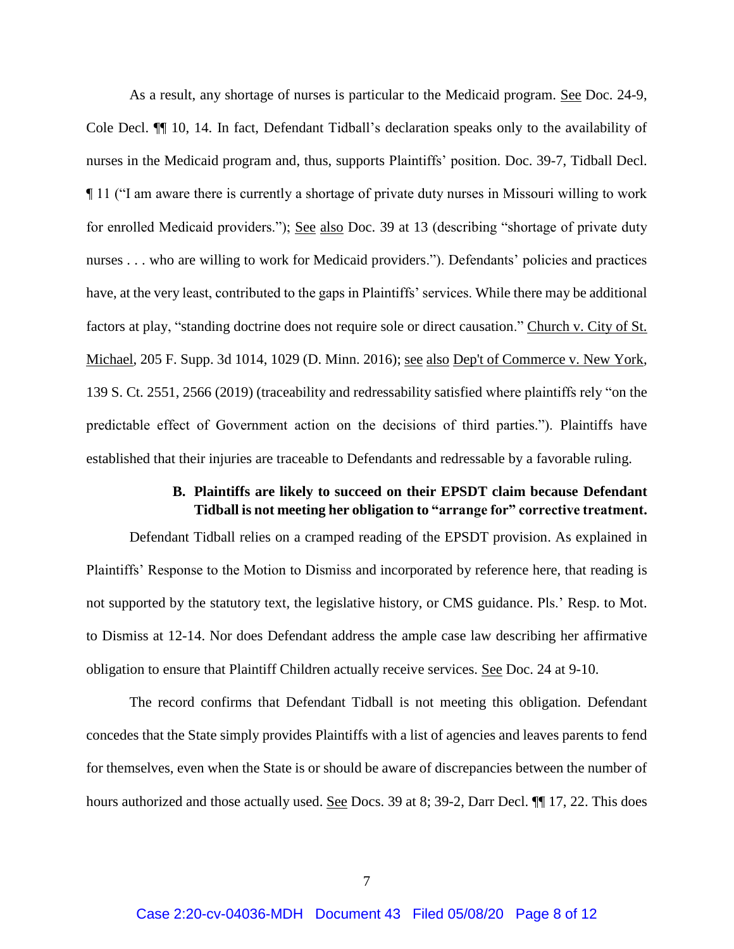As a result, any shortage of nurses is particular to the Medicaid program. See Doc. 24-9, Cole Decl. ¶¶ 10, 14. In fact, Defendant Tidball's declaration speaks only to the availability of nurses in the Medicaid program and, thus, supports Plaintiffs' position. Doc. 39-7, Tidball Decl. ¶ 11 ("I am aware there is currently a shortage of private duty nurses in Missouri willing to work for enrolled Medicaid providers."); See also Doc. 39 at 13 (describing "shortage of private duty nurses . . . who are willing to work for Medicaid providers."). Defendants' policies and practices have, at the very least, contributed to the gaps in Plaintiffs' services. While there may be additional factors at play, "standing doctrine does not require sole or direct causation." Church v. City of St. Michael, 205 F. Supp. 3d 1014, 1029 (D. Minn. 2016); see also Dep't of Commerce v. New York, 139 S. Ct. 2551, 2566 (2019) (traceability and redressability satisfied where plaintiffs rely "on the predictable effect of Government action on the decisions of third parties."). Plaintiffs have established that their injuries are traceable to Defendants and redressable by a favorable ruling.

## **B. Plaintiffs are likely to succeed on their EPSDT claim because Defendant Tidball is not meeting her obligation to "arrange for" corrective treatment.**

Defendant Tidball relies on a cramped reading of the EPSDT provision. As explained in Plaintiffs' Response to the Motion to Dismiss and incorporated by reference here, that reading is not supported by the statutory text, the legislative history, or CMS guidance. Pls.' Resp. to Mot. to Dismiss at 12-14. Nor does Defendant address the ample case law describing her affirmative obligation to ensure that Plaintiff Children actually receive services. See Doc. 24 at 9-10.

The record confirms that Defendant Tidball is not meeting this obligation. Defendant concedes that the State simply provides Plaintiffs with a list of agencies and leaves parents to fend for themselves, even when the State is or should be aware of discrepancies between the number of hours authorized and those actually used. See Docs. 39 at 8; 39-2, Darr Decl.  $\P\P$  17, 22. This does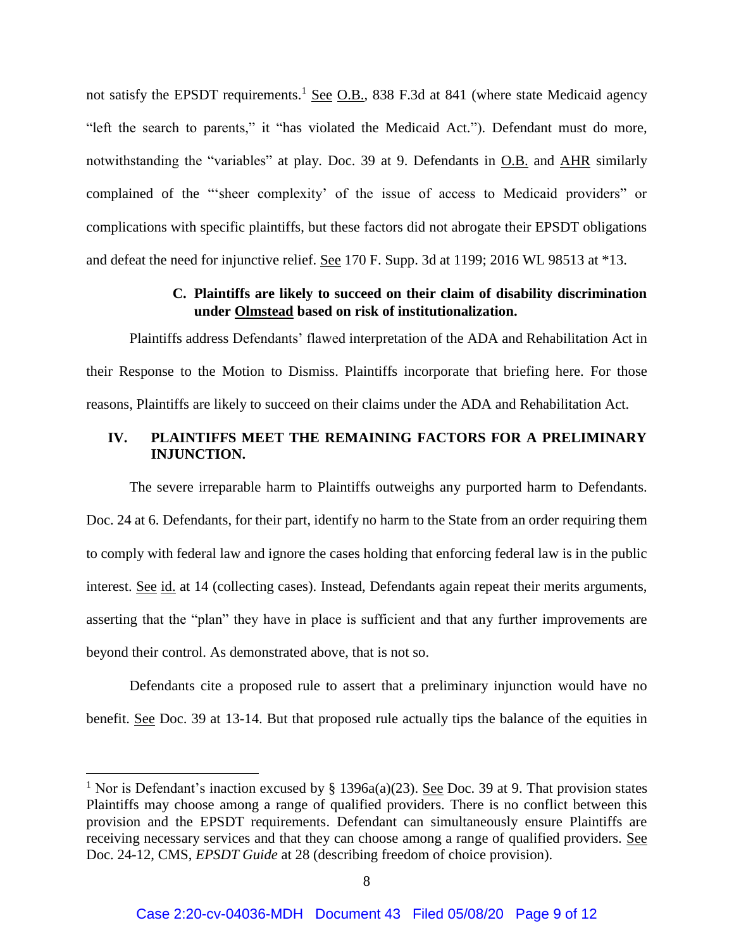not satisfy the EPSDT requirements.<sup>1</sup> See O.B., 838 F.3d at 841 (where state Medicaid agency "left the search to parents," it "has violated the Medicaid Act."). Defendant must do more, notwithstanding the "variables" at play. Doc. 39 at 9. Defendants in O.B. and AHR similarly complained of the "'sheer complexity' of the issue of access to Medicaid providers" or complications with specific plaintiffs, but these factors did not abrogate their EPSDT obligations and defeat the need for injunctive relief. See 170 F. Supp. 3d at 1199; 2016 WL 98513 at \*13.

# **C. Plaintiffs are likely to succeed on their claim of disability discrimination under Olmstead based on risk of institutionalization.**

Plaintiffs address Defendants' flawed interpretation of the ADA and Rehabilitation Act in their Response to the Motion to Dismiss. Plaintiffs incorporate that briefing here. For those reasons, Plaintiffs are likely to succeed on their claims under the ADA and Rehabilitation Act.

# **IV. PLAINTIFFS MEET THE REMAINING FACTORS FOR A PRELIMINARY INJUNCTION.**

The severe irreparable harm to Plaintiffs outweighs any purported harm to Defendants. Doc. 24 at 6. Defendants, for their part, identify no harm to the State from an order requiring them to comply with federal law and ignore the cases holding that enforcing federal law is in the public interest. See id. at 14 (collecting cases). Instead, Defendants again repeat their merits arguments, asserting that the "plan" they have in place is sufficient and that any further improvements are beyond their control. As demonstrated above, that is not so.

Defendants cite a proposed rule to assert that a preliminary injunction would have no benefit. See Doc. 39 at 13-14. But that proposed rule actually tips the balance of the equities in

 $\overline{a}$ 

<sup>&</sup>lt;sup>1</sup> Nor is Defendant's inaction excused by § 1396a(a)(23). <u>See</u> Doc. 39 at 9. That provision states Plaintiffs may choose among a range of qualified providers. There is no conflict between this provision and the EPSDT requirements. Defendant can simultaneously ensure Plaintiffs are receiving necessary services and that they can choose among a range of qualified providers. See Doc. 24-12, CMS, *EPSDT Guide* at 28 (describing freedom of choice provision).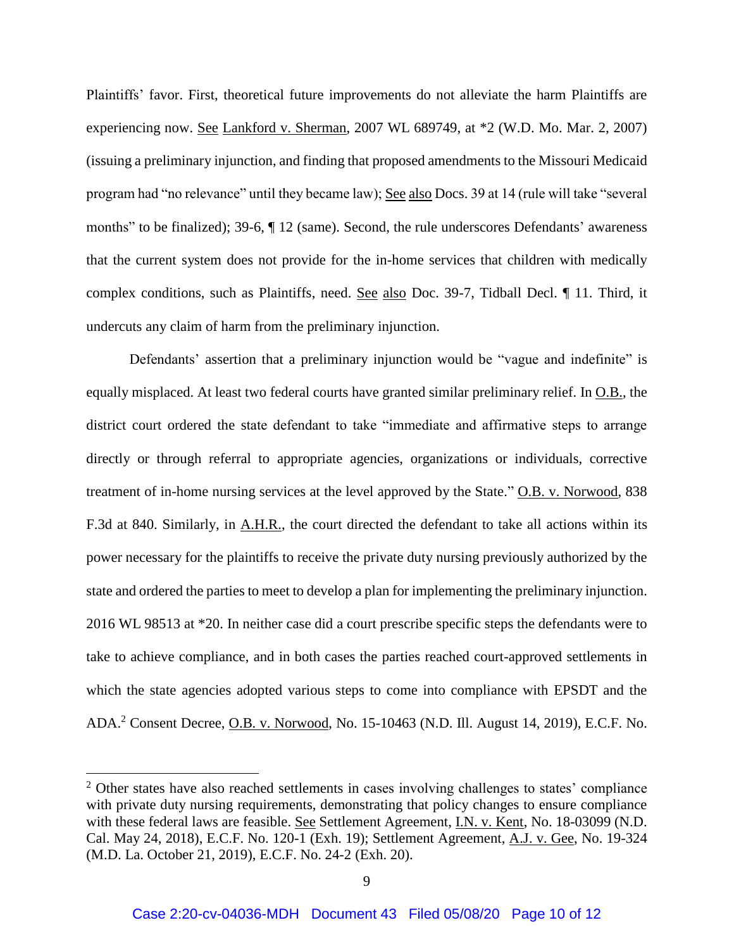Plaintiffs' favor. First, theoretical future improvements do not alleviate the harm Plaintiffs are experiencing now. See Lankford v. Sherman, 2007 WL 689749, at \*2 (W.D. Mo. Mar. 2, 2007) (issuing a preliminary injunction, and finding that proposed amendments to the Missouri Medicaid program had "no relevance" until they became law); See also Docs. 39 at 14 (rule will take "several months" to be finalized); 39-6, ¶ 12 (same). Second, the rule underscores Defendants' awareness that the current system does not provide for the in-home services that children with medically complex conditions, such as Plaintiffs, need. See also Doc. 39-7, Tidball Decl. ¶ 11. Third, it undercuts any claim of harm from the preliminary injunction.

Defendants' assertion that a preliminary injunction would be "vague and indefinite" is equally misplaced. At least two federal courts have granted similar preliminary relief. In O.B., the district court ordered the state defendant to take "immediate and affirmative steps to arrange directly or through referral to appropriate agencies, organizations or individuals, corrective treatment of in-home nursing services at the level approved by the State." O.B. v. Norwood, 838 F.3d at 840. Similarly, in A.H.R., the court directed the defendant to take all actions within its power necessary for the plaintiffs to receive the private duty nursing previously authorized by the state and ordered the parties to meet to develop a plan for implementing the preliminary injunction. 2016 WL 98513 at \*20. In neither case did a court prescribe specific steps the defendants were to take to achieve compliance, and in both cases the parties reached court-approved settlements in which the state agencies adopted various steps to come into compliance with EPSDT and the ADA.<sup>2</sup> Consent Decree, O.B. v. Norwood, No. 15-10463 (N.D. Ill. August 14, 2019), E.C.F. No.

 $\overline{a}$ 

<sup>&</sup>lt;sup>2</sup> Other states have also reached settlements in cases involving challenges to states' compliance with private duty nursing requirements, demonstrating that policy changes to ensure compliance with these federal laws are feasible. See Settlement Agreement, I.N. v. Kent, No. 18-03099 (N.D. Cal. May 24, 2018), E.C.F. No. 120-1 (Exh. 19); Settlement Agreement, A.J. v. Gee, No. 19-324 (M.D. La. October 21, 2019), E.C.F. No. 24-2 (Exh. 20).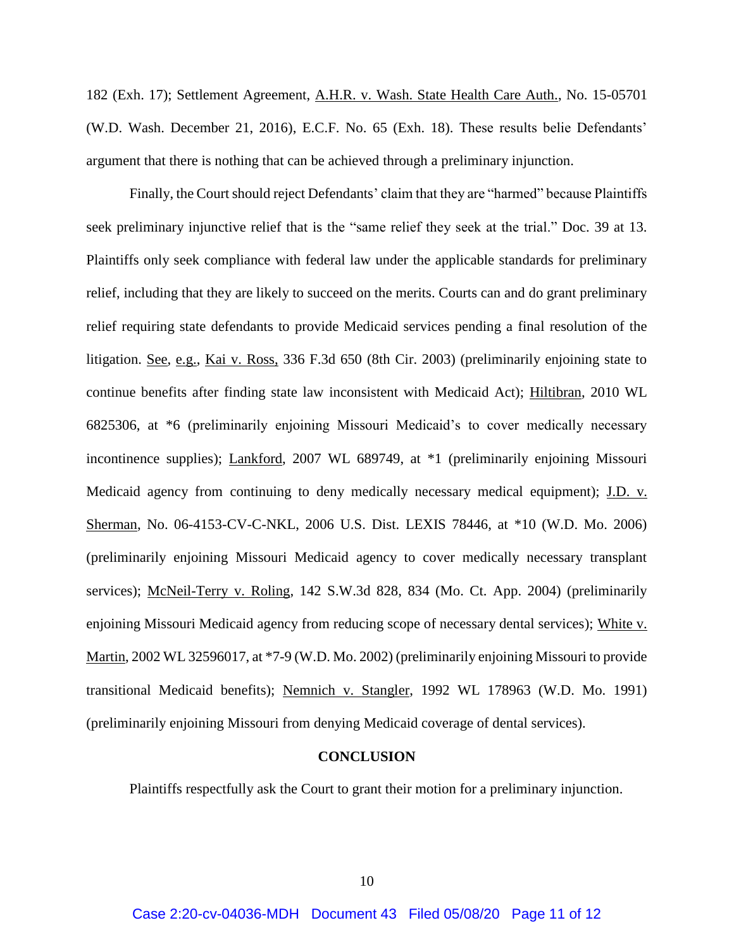182 (Exh. 17); Settlement Agreement, A.H.R. v. Wash. State Health Care Auth., No. 15-05701 (W.D. Wash. December 21, 2016), E.C.F. No. 65 (Exh. 18). These results belie Defendants' argument that there is nothing that can be achieved through a preliminary injunction.

Finally, the Court should reject Defendants' claim that they are "harmed" because Plaintiffs seek preliminary injunctive relief that is the "same relief they seek at the trial." Doc. 39 at 13. Plaintiffs only seek compliance with federal law under the applicable standards for preliminary relief, including that they are likely to succeed on the merits. Courts can and do grant preliminary relief requiring state defendants to provide Medicaid services pending a final resolution of the litigation. See, e.g., Kai v. Ross, 336 F.3d 650 (8th Cir. 2003) (preliminarily enjoining state to continue benefits after finding state law inconsistent with Medicaid Act); Hiltibran, 2010 WL 6825306, at \*6 (preliminarily enjoining Missouri Medicaid's to cover medically necessary incontinence supplies); Lankford, 2007 WL 689749, at \*1 (preliminarily enjoining Missouri Medicaid agency from continuing to deny medically necessary medical equipment); J.D. v. Sherman, No. 06-4153-CV-C-NKL, 2006 U.S. Dist. LEXIS 78446, at \*10 (W.D. Mo. 2006) (preliminarily enjoining Missouri Medicaid agency to cover medically necessary transplant services); McNeil-Terry v. Roling*,* 142 S.W.3d 828, 834 (Mo. Ct. App. 2004) (preliminarily enjoining Missouri Medicaid agency from reducing scope of necessary dental services); White v. Martin, 2002 WL 32596017, at \*7-9 (W.D. Mo. 2002) (preliminarily enjoining Missouri to provide transitional Medicaid benefits); Nemnich v. Stangler, 1992 WL 178963 (W.D. Mo. 1991) (preliminarily enjoining Missouri from denying Medicaid coverage of dental services).

#### **CONCLUSION**

Plaintiffs respectfully ask the Court to grant their motion for a preliminary injunction.